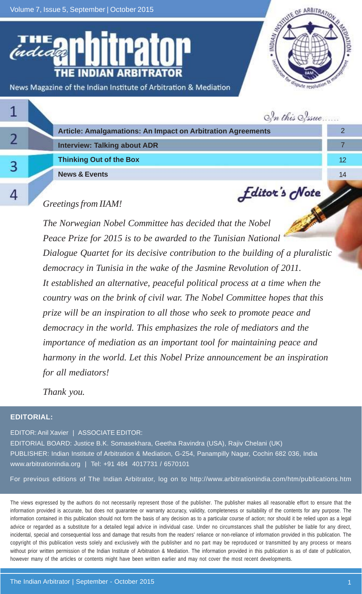Volume 7, Issue 5, September | October 2015



|  | In this Sysue                                               |     |
|--|-------------------------------------------------------------|-----|
|  | Article: Amalgamations: An Impact on Arbitration Agreements |     |
|  | <b>Interview: Talking about ADR</b>                         |     |
|  | <b>Thinking Out of the Box</b>                              | 12. |
|  | <b>News &amp; Events</b>                                    | 14  |
|  | <b><i><u>Editor's</u></i></b> <i>cNote</i>                  |     |

### *Greetings from IIAM!*

*The Norwegian Nobel Committee has decided that the Nobel Peace Prize for 2015 is to be awarded to the Tunisian National Dialogue Quartet for its decisive contribution to the building of a pluralistic democracy in Tunisia in the wake of the Jasmine Revolution of 2011. It established an alternative, peaceful political process at a time when the country was on the brink of civil war. The Nobel Committee hopes that this prize will be an inspiration to all those who seek to promote peace and democracy in the world. This emphasizes the role of mediators and the importance of mediation as an important tool for maintaining peace and harmony in the world. Let this Nobel Prize announcement be an inspiration for all mediators!*

*Thank you.*

#### **EDITORIAL:**

EDITOR: Anil Xavier | ASSOCIATE EDITOR: EDITORIAL BOARD: Justice B.K. Somasekhara, Geetha Ravindra (USA), Rajiv Chelani (UK) PUBLISHER: Indian Institute of Arbitration & Mediation, G-254, Panampilly Nagar, Cochin 682 036, India www.arbitrationindia.org | Tel: +91 484 4017731 / 6570101

For previous editions of The Indian Arbitrator, log on to http://www.arbitrationindia.com/htm/publications.htm

The views expressed by the authors do not necessarily represent those of the publisher. The publisher makes all reasonable effort to ensure that the information provided is accurate, but does not guarantee or warranty accuracy, validity, completeness or suitability of the contents for any purpose. The information contained in this publication should not form the basis of any decision as to a particular course of action; nor should it be relied upon as a legal advice or regarded as a substitute for a detailed legal advice in individual case. Under no circumstances shall the publisher be liable for any direct, incidental, special and consequential loss and damage that results from the readers' reliance or non-reliance of information provided in this publication. The copyright of this publication vests solely and exclusively with the publisher and no part may be reproduced or transmitted by any process or means without prior written permission of the Indian Institute of Arbitration & Mediation. The information provided in this publication is as of date of publication, however many of the articles or contents might have been written earlier and may not cover the most recent developments.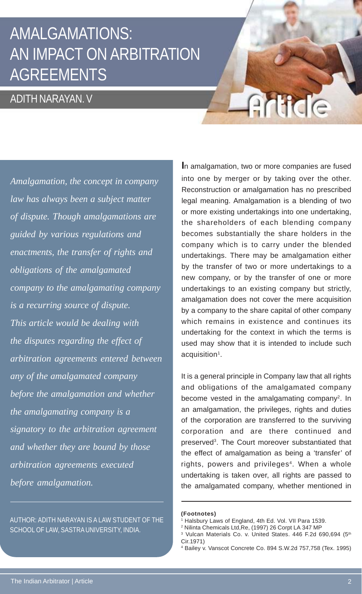## AMALGAMATIONS: AN IMPACT ON ARBITRATION AGREEMENTS

### ADITH NARAYAN. V

*Amalgamation, the concept in company law has always been a subject matter of dispute. Though amalgamations are guided by various regulations and enactments, the transfer of rights and obligations of the amalgamated company to the amalgamating company is a recurring source of dispute. This article would be dealing with the disputes regarding the effect of arbitration agreements entered between any of the amalgamated company before the amalgamation and whether the amalgamating company is a signatory to the arbitration agreement and whether they are bound by those arbitration agreements executed before amalgamation.*

AUTHOR: ADITH NARAYAN IS A LAW STUDENT OF THE SCHOOL OF LAW, SASTRA UNIVERSITY, INDIA.

**I**n amalgamation, two or more companies are fused into one by merger or by taking over the other. Reconstruction or amalgamation has no prescribed legal meaning. Amalgamation is a blending of two or more existing undertakings into one undertaking, the shareholders of each blending company becomes substantially the share holders in the company which is to carry under the blended undertakings. There may be amalgamation either by the transfer of two or more undertakings to a new company, or by the transfer of one or more undertakings to an existing company but strictly, amalgamation does not cover the mere acquisition by a company to the share capital of other company which remains in existence and continues its undertaking for the context in which the terms is used may show that it is intended to include such acquisition<sup>1</sup>.

Article

It is a general principle in Company law that all rights and obligations of the amalgamated company become vested in the amalgamating company<sup>2</sup>. In an amalgamation, the privileges, rights and duties of the corporation are transferred to the surviving corporation and are there continued and preserved<sup>3</sup>. The Court moreover substantiated that the effect of amalgamation as being a 'transfer' of rights, powers and privileges<sup>4</sup>. When a whole undertaking is taken over, all rights are passed to the amalgamated company, whether mentioned in

#### **(Footnotes)**

Halsbury Laws of England, 4th Ed. Vol. VII Para 1539.

<sup>2</sup> Nilinta Chemicals Ltd,Re, (1997) 26 Corpt LA 347 MP

<sup>&</sup>lt;sup>3</sup> Vulcan Materials Co. v. United States. 446 F.2d 690,694 (5<sup>th</sup> Cir.1971)

<sup>4</sup> Bailey v. Vanscot Concrete Co. 894 S.W.2d 757,758 (Tex. 1995)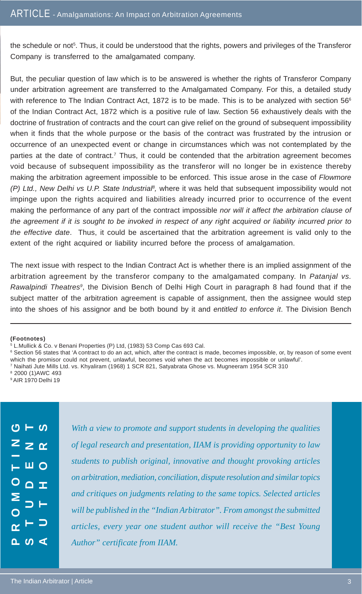the schedule or not<sup>5</sup>. Thus, it could be understood that the rights, powers and privileges of the Transferor Company is transferred to the amalgamated company.

But, the peculiar question of law which is to be answered is whether the rights of Transferor Company under arbitration agreement are transferred to the Amalgamated Company. For this, a detailed study with reference to The Indian Contract Act, 1872 is to be made. This is to be analyzed with section 56<sup>6</sup> of the Indian Contract Act, 1872 which is a positive rule of law. Section 56 exhaustively deals with the doctrine of frustration of contracts and the court can give relief on the ground of subsequent impossibility when it finds that the whole purpose or the basis of the contract was frustrated by the intrusion or occurrence of an unexpected event or change in circumstances which was not contemplated by the parties at the date of contract.<sup>7</sup> Thus, it could be contended that the arbitration agreement becomes void because of subsequent impossibility as the transferor will no longer be in existence thereby making the arbitration agreement impossible to be enforced. This issue arose in the case of *Flowmore (P) Ltd., New Delhi vs U.P. State Industrial<sup>8</sup>, where it was held that subsequent impossibility would not* impinge upon the rights acquired and liabilities already incurred prior to occurrence of the event making the performance of any part of the contract impossible *nor will it affect the arbitration clause of the agreement if it is sought to be invoked in respect of any right acquired or liability incurred prior to the effective date*. Thus, it could be ascertained that the arbitration agreement is valid only to the extent of the right acquired or liability incurred before the process of amalgamation.

The next issue with respect to the Indian Contract Act is whether there is an implied assignment of the arbitration agreement by the transferor company to the amalgamated company. In *Patanjal vs.* Rawalpindi Theatres<sup>9</sup>, the Division Bench of Delhi High Court in paragraph 8 had found that if the subject matter of the arbitration agreement is capable of assignment, then the assignee would step into the shoes of his assignor and be both bound by it and *entitled to enforce it*. The Division Bench

#### **(Footnotes)**

<sup>6</sup> Section 56 states that 'A contract to do an act, which, after the contract is made, becomes impossible, or, by reason of some event which the promisor could not prevent, unlawful, becomes void when the act becomes impossible or unlawful'.

7 Naihati Jute Mills Ltd. vs. Khyaliram (1968) 1 SCR 821, Satyabrata Ghose vs. Mugneeram 1954 SCR 310

| $\overline{S}$ — $\overline{S}$   | With a view to promote and support students in developing the qualities        |
|-----------------------------------|--------------------------------------------------------------------------------|
| $z \, \alpha$                     | of legal research and presentation, IIAM is providing opportunity to law       |
| $\begin{array}{c} \n\blacksquare$ | students to publish original, innovative and thought provoking articles        |
| $O_{\Delta x}$                    | on arbitration, mediation, conciliation, dispute resolution and similar topics |
|                                   | and critiques on judgments relating to the same topics. Selected articles      |
|                                   | will be published in the "Indian Arbitrator". From amongst the submitted       |
| $\alpha$ $\vdash$ $\supset$       | articles, every year one student author will receive the "Best Young"          |
| $\Delta$ $\omega$ $\leq$          | Author" certificate from IIAM.                                                 |
|                                   |                                                                                |

<sup>5</sup> L.Mullick & Co. v Benani Properties (P) Ltd, (1983) 53 Comp Cas 693 Cal.

<sup>8</sup> 2000 (1)AWC 493

<sup>9</sup> AIR 1970 Delhi 19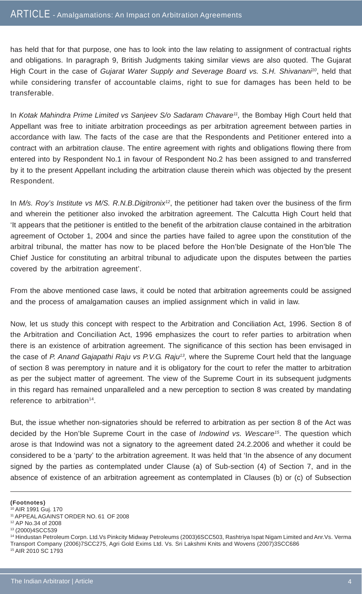has held that for that purpose, one has to look into the law relating to assignment of contractual rights and obligations. In paragraph 9, British Judgments taking similar views are also quoted. The Gujarat High Court in the case of *Gujarat Water Supply and Severage Board vs. S.H. Shivanani<sup>10</sup>, held that* while considering transfer of accountable claims, right to sue for damages has been held to be transferable.

In *Kotak Mahindra Prime Limited vs Sanjeev S/o Sadaram Chavare<sup>11</sup>, the Bombay High Court held that* Appellant was free to initiate arbitration proceedings as per arbitration agreement between parties in accordance with law. The facts of the case are that the Respondents and Petitioner entered into a contract with an arbitration clause. The entire agreement with rights and obligations flowing there from entered into by Respondent No.1 in favour of Respondent No.2 has been assigned to and transferred by it to the present Appellant including the arbitration clause therein which was objected by the present Respondent.

In *M/s. Roy's Institute vs M/S. R.N.B.Digitronix<sup>12</sup>, the petitioner had taken over the business of the firm* and wherein the petitioner also invoked the arbitration agreement. The Calcutta High Court held that 'It appears that the petitioner is entitled to the benefit of the arbitration clause contained in the arbitration agreement of October 1, 2004 and since the parties have failed to agree upon the constitution of the arbitral tribunal, the matter has now to be placed before the Hon'ble Designate of the Hon'ble The Chief Justice for constituting an arbitral tribunal to adjudicate upon the disputes between the parties covered by the arbitration agreement'.

From the above mentioned case laws, it could be noted that arbitration agreements could be assigned and the process of amalgamation causes an implied assignment which in valid in law.

Now, let us study this concept with respect to the Arbitration and Conciliation Act, 1996. Section 8 of the Arbitration and Conciliation Act, 1996 emphasizes the court to refer parties to arbitration when there is an existence of arbitration agreement. The significance of this section has been envisaged in the case of *P. Anand Gajapathi Raju vs P.V.G. Raju13,* where the Supreme Court held that the language of section 8 was peremptory in nature and it is obligatory for the court to refer the matter to arbitration as per the subject matter of agreement. The view of the Supreme Court in its subsequent judgments in this regard has remained unparalleled and a new perception to section 8 was created by mandating reference to arbitration<sup>14</sup>.

But, the issue whether non-signatories should be referred to arbitration as per section 8 of the Act was decided by the Hon'ble Supreme Court in the case of *Indowind vs. Wescare15*. The question which arose is that Indowind was not a signatory to the agreement dated 24.2.2006 and whether it could be considered to be a 'party' to the arbitration agreement. It was held that 'In the absence of any document signed by the parties as contemplated under Clause (a) of Sub-section (4) of Section 7, and in the absence of existence of an arbitration agreement as contemplated in Clauses (b) or (c) of Subsection

**(Footnotes)**

15 AIR 2010 SC 1793

<sup>10</sup> AIR 1991 Guj. 170

<sup>11</sup> APPEAL AGAINST ORDER NO. 61 OF 2008

<sup>12</sup> AP No.34 of 2008

<sup>13 (2000)4</sup>SCC539

<sup>14</sup> Hindustan Petroleum Corpn. Ltd.Vs Pinkcity Midway Petroleums (2003)6SCC503, Rashtriya Ispat Nigam Limited and Anr.Vs. Verma Transport Company (2006)7SCC275, Agri Gold Exims Ltd. Vs. Sri Lakshmi Knits and Wovens (2007)3SCC686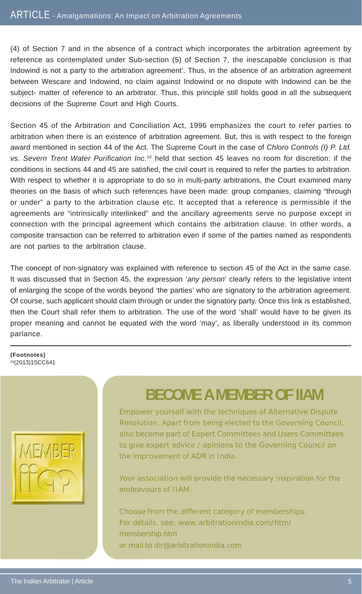#### ARTICLE - Amalgamations: An Impact on Arbitration Agreements

(4) of Section 7 and in the absence of a contract which incorporates the arbitration agreement by reference as contemplated under Sub-section (5) of Section 7, the inescapable conclusion is that Indowind is not a party to the arbitration agreement'. Thus, in the absence of an arbitration agreement between Wescare and Indowind, no claim against Indowind or no dispute with Indowind can be the subject- matter of reference to an arbitrator. Thus, this principle still holds good in all the subsequent decisions of the Supreme Court and High Courts.

Section 45 of the Arbitration and Conciliation Act, 1996 emphasizes the court to refer parties to arbitration when there is an existence of arbitration agreement. But, this is with respect to the foreign award mentioned in section 44 of the Act. The Supreme Court in the case of *Chloro Controls (I) P. Ltd. vs. Severn Trent Water Purification Inc.16* held that section 45 leaves no room for discretion: if the conditions in sections 44 and 45 are satisfied, the civil court is required to refer the parties to arbitration. With respect to whether it is appropriate to do so in multi-party arbitrations, the Court examined many theories on the basis of which such references have been made: group companies, claiming "through or under" a party to the arbitration clause etc. It accepted that a reference is permissible if the agreements are "intrinsically interlinked" and the ancillary agreements serve no purpose except in connection with the principal agreement which contains the arbitration clause. In other words, a composite transaction can be referred to arbitration even if some of the parties named as respondents are not parties to the arbitration clause.

The concept of non-signatory was explained with reference to section 45 of the Act in the same case. It was discussed that in Section 45, the expression '*any person*' clearly refers to the legislative intent of enlarging the scope of the words beyond 'the parties' who are signatory to the arbitration agreement. Of course, such applicant should claim through or under the signatory party. Once this link is established, then the Court shall refer them to arbitration. The use of the word 'shall' would have to be given its proper meaning and cannot be equated with the word 'may', as liberally understood in its common parlance.

#### **(Footnotes)** 16(2013)1SCC641



### **BECOME A MEMBER OF IIAM**

Empower yourself with the techniques of Alternative Dispute Resolution. Apart from being elected to the Governing Council, also become part of Expert Committees and Users Committees to give expert advice / opinions to the Governing Council on the improvement of ADR in India.

Your association will provide the necessary inspiration for the endeavours of IIAM.

Choose from the different category of memberships. For details. see: www.arbitrationindia.com/htm/ membership.htm or mail to dir@arbitrationindia.com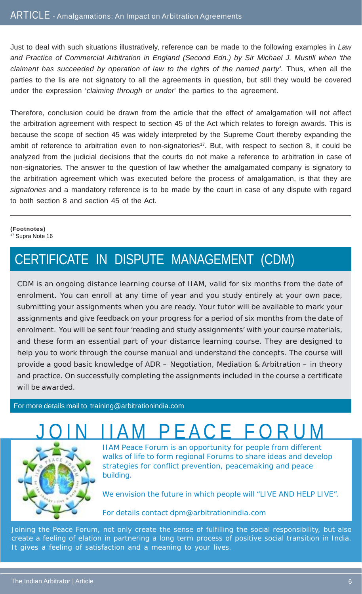Just to deal with such situations illustratively, reference can be made to the following examples in *Law and Practice of Commercial Arbitration in England (Second Edn.) by Sir Michael J. Mustill when 'the* claimant has succeeded by operation of law to the rights of the named party'. Thus, when all the parties to the lis are not signatory to all the agreements in question, but still they would be covered under the expression '*claiming through or under*' the parties to the agreement.

Therefore, conclusion could be drawn from the article that the effect of amalgamation will not affect the arbitration agreement with respect to section 45 of the Act which relates to foreign awards. This is because the scope of section 45 was widely interpreted by the Supreme Court thereby expanding the ambit of reference to arbitration even to non-signatories<sup>17</sup>. But, with respect to section 8, it could be analyzed from the judicial decisions that the courts do not make a reference to arbitration in case of non-signatories. The answer to the question of law whether the amalgamated company is signatory to the arbitration agreement which was executed before the process of amalgamation, is that they are *signatories* and a mandatory reference is to be made by the court in case of any dispute with regard to both section 8 and section 45 of the Act.

#### **(Footnotes)** <sup>17</sup> Supra Note 16

### CERTIFICATE IN DISPUTE MANAGEMENT (CDM)

CDM is an ongoing distance learning course of IIAM, valid for six months from the date of enrolment. You can enroll at any time of year and you study entirely at your own pace, submitting your assignments when you are ready. Your tutor will be available to mark your assignments and give feedback on your progress for a period of six months from the date of enrolment. You will be sent four 'reading and study assignments' with your course materials, and these form an essential part of your distance learning course. They are designed to help you to work through the course manual and understand the concepts. The course will provide a good basic knowledge of ADR – Negotiation, Mediation & Arbitration – in theory and practice. On successfully completing the assignments included in the course a certificate will be awarded.

For more details mail to training@arbitrationindia.com

# P F A C F F O I



IIAM Peace Forum is an opportunity for people from different walks of life to form regional Forums to share ideas and develop strategies for conflict prevention, peacemaking and peace building.

We envision the future in which people will "LIVE AND HELP LIVE".

For details contact dpm@arbitrationindia.com

Joining the Peace Forum, not only create the sense of fulfilling the social responsibility, but also create a feeling of elation in partnering a long term process of positive social transition in India. It gives a feeling of satisfaction and a meaning to your lives.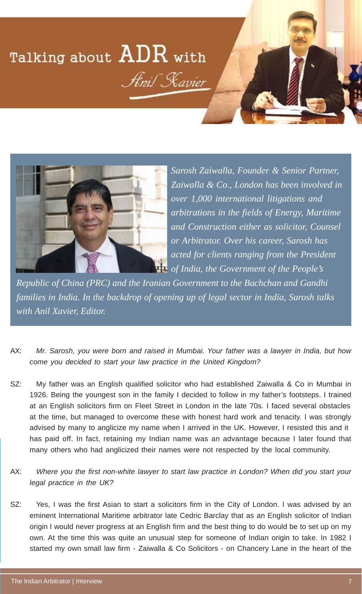# Talking about  ${\rm ADR}$  with **Anil Kavier**



*Sarosh Zaiwalla, Founder & Senior Partner, Zaiwalla & Co., London has been involved in over 1,000 international litigations and arbitrations in the fields of Energy, Maritime and Construction either as solicitor, Counsel or Arbitrator. Over his career, Sarosh has acted for clients ranging from the President of India, the Government of the People's*

*Republic of China (PRC) and the Iranian Government to the Bachchan and Gandhi families in India. In the backdrop of opening up of legal sector in India, Sarosh talks with Anil Xavier, Editor.*

- AX: *Mr. Sarosh, you were born and raised in Mumbai. Your father was a lawyer in India, but how come you decided to start your law practice in the United Kingdom?*
- SZ: My father was an English qualified solicitor who had established Zaiwalla & Co in Mumbai in 1926. Being the youngest son in the family I decided to follow in my father's footsteps. I trained at an English solicitors firm on Fleet Street in London in the late 70s. I faced several obstacles at the time, but managed to overcome these with honest hard work and tenacity. I was strongly advised by many to anglicize my name when I arrived in the UK. However, I resisted this and it has paid off. In fact, retaining my Indian name was an advantage because I later found that many others who had anglicized their names were not respected by the local community.
- AX: *Where you the first non-white lawyer to start law practice in London? When did you start your legal practice in the UK?*
- SZ: Yes, I was the first Asian to start a solicitors firm in the City of London. I was advised by an eminent International Maritime arbitrator late Cedric Barclay that as an English solicitor of Indian origin I would never progress at an English firm and the best thing to do would be to set up on my own. At the time this was quite an unusual step for someone of Indian origin to take. In 1982 I started my own small law firm - Zaiwalla & Co Solicitors - on Chancery Lane in the heart of the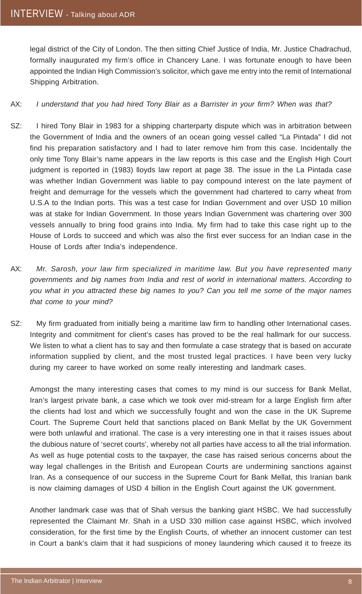legal district of the City of London. The then sitting Chief Justice of India, Mr. Justice Chadrachud, formally inaugurated my firm's office in Chancery Lane. I was fortunate enough to have been appointed the Indian High Commission's solicitor, which gave me entry into the remit of International Shipping Arbitration.

#### AX: *I understand that you had hired Tony Blair as a Barrister in your firm? When was that?*

- SZ: I hired Tony Blair in 1983 for a shipping charterparty dispute which was in arbitration between the Government of India and the owners of an ocean going vessel called "La Pintada" I did not find his preparation satisfactory and I had to later remove him from this case. Incidentally the only time Tony Blair's name appears in the law reports is this case and the English High Court judgment is reported in (1983) lloyds law report at page 38. The issue in the La Pintada case was whether Indian Government was liable to pay compound interest on the late payment of freight and demurrage for the vessels which the government had chartered to carry wheat from U.S.A to the Indian ports. This was a test case for Indian Government and over USD 10 million was at stake for Indian Government. In those years Indian Government was chartering over 300 vessels annually to bring food grains into India. My firm had to take this case right up to the House of Lords to succeed and which was also the first ever success for an Indian case in the House of Lords after India's independence.
- AX: *Mr. Sarosh, your law firm specialized in maritime law. But you have represented many governments and big names from India and rest of world in international matters. According to you what in you attracted these big names to you? Can you tell me some of the major names that come to your mind?*
- SZ: My firm graduated from initially being a maritime law firm to handling other International cases. Integrity and commitment for client's cases has proved to be the real hallmark for our success. We listen to what a client has to say and then formulate a case strategy that is based on accurate information supplied by client, and the most trusted legal practices. I have been very lucky during my career to have worked on some really interesting and landmark cases.

Amongst the many interesting cases that comes to my mind is our success for Bank Mellat, Iran's largest private bank, a case which we took over mid-stream for a large English firm after the clients had lost and which we successfully fought and won the case in the UK Supreme Court. The Supreme Court held that sanctions placed on Bank Mellat by the UK Government were both unlawful and irrational. The case is a very interesting one in that it raises issues about the dubious nature of 'secret courts', whereby not all parties have access to all the trial information. As well as huge potential costs to the taxpayer, the case has raised serious concerns about the way legal challenges in the British and European Courts are undermining sanctions against Iran. As a consequence of our success in the Supreme Court for Bank Mellat, this Iranian bank is now claiming damages of USD 4 billion in the English Court against the UK government.

Another landmark case was that of Shah versus the banking giant HSBC. We had successfully represented the Claimant Mr. Shah in a USD 330 million case against HSBC, which involved consideration, for the first time by the English Courts, of whether an innocent customer can test in Court a bank's claim that it had suspicions of money laundering which caused it to freeze its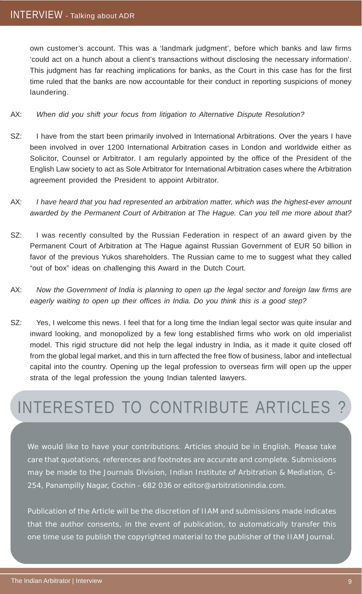own customer's account. This was a 'landmark judgment', before which banks and law firms 'could act on a hunch about a client's transactions without disclosing the necessary information'. This judgment has far reaching implications for banks, as the Court in this case has for the first time ruled that the banks are now accountable for their conduct in reporting suspicions of money laundering.

#### AX: *When did you shift your focus from litigation to Alternative Dispute Resolution?*

- SZ: I have from the start been primarily involved in International Arbitrations. Over the years I have been involved in over 1200 International Arbitration cases in London and worldwide either as Solicitor, Counsel or Arbitrator. I am regularly appointed by the office of the President of the English Law society to act as Sole Arbitrator for International Arbitration cases where the Arbitration agreement provided the President to appoint Arbitrator.
- AX: *I have heard that you had represented an arbitration matter, which was the highest-ever amount awarded by the Permanent Court of Arbitration at The Hague. Can you tell me more about that?*
- SZ: I was recently consulted by the Russian Federation in respect of an award given by the Permanent Court of Arbitration at The Hague against Russian Government of EUR 50 billion in favor of the previous Yukos shareholders. The Russian came to me to suggest what they called "out of box" ideas on challenging this Award in the Dutch Court.
- AX: *Now the Government of India is planning to open up the legal sector and foreign law firms are eagerly waiting to open up their offices in India. Do you think this is a good step?*
- SZ: Yes, I welcome this news. I feel that for a long time the Indian legal sector was quite insular and inward looking, and monopolized by a few long established firms who work on old imperialist model. This rigid structure did not help the legal industry in India, as it made it quite closed off from the global legal market, and this in turn affected the free flow of business, labor and intellectual capital into the country. Opening up the legal profession to overseas firm will open up the upper strata of the legal profession the young Indian talented lawyers.

# INTERESTED TO CONTRIBUTE ARTICLES ?

We would like to have your contributions. Articles should be in English. Please take care that quotations, references and footnotes are accurate and complete. Submissions may be made to the Journals Division, Indian Institute of Arbitration & Mediation, G-254, Panampilly Nagar, Cochin - 682 036 or editor@arbitrationindia.com.

Publication of the Article will be the discretion of IIAM and submissions made indicates that the author consents, in the event of publication, to automatically transfer this one time use to publish the copyrighted material to the publisher of the IIAM Journal.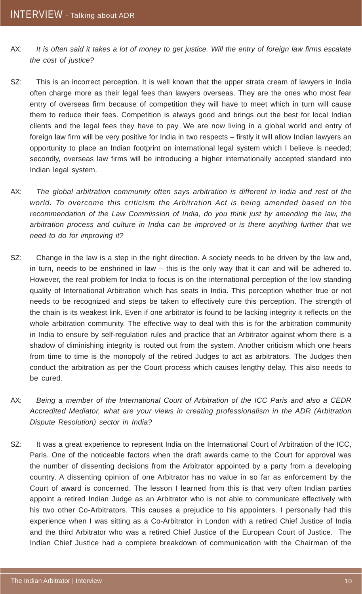- AX: *It is often said it takes a lot of money to get justice. Will the entry of foreign law firms escalate the cost of justice?*
- SZ: This is an incorrect perception. It is well known that the upper strata cream of lawyers in India often charge more as their legal fees than lawyers overseas. They are the ones who most fear entry of overseas firm because of competition they will have to meet which in turn will cause them to reduce their fees. Competition is always good and brings out the best for local Indian clients and the legal fees they have to pay. We are now living in a global world and entry of foreign law firm will be very positive for India in two respects – firstly it will allow Indian lawyers an opportunity to place an Indian footprint on international legal system which I believe is needed; secondly, overseas law firms will be introducing a higher internationally accepted standard into Indian legal system.
- AX: *The global arbitration community often says arbitration is different in India and rest of the world. To overcome this criticism the Arbitration Act is being amended based on the recommendation of the Law Commission of India, do you think just by amending the law, the arbitration process and culture in India can be improved or is there anything further that we need to do for improving it?*
- SZ: Change in the law is a step in the right direction. A society needs to be driven by the law and, in turn, needs to be enshrined in law – this is the only way that it can and will be adhered to. However, the real problem for India to focus is on the international perception of the low standing quality of International Arbitration which has seats in India. This perception whether true or not needs to be recognized and steps be taken to effectively cure this perception. The strength of the chain is its weakest link. Even if one arbitrator is found to be lacking integrity it reflects on the whole arbitration community. The effective way to deal with this is for the arbitration community in India to ensure by self-regulation rules and practice that an Arbitrator against whom there is a shadow of diminishing integrity is routed out from the system. Another criticism which one hears from time to time is the monopoly of the retired Judges to act as arbitrators. The Judges then conduct the arbitration as per the Court process which causes lengthy delay. This also needs to be cured.
- AX: *Being a member of the International Court of Arbitration of the ICC Paris and also a CEDR Accredited Mediator, what are your views in creating professionalism in the ADR (Arbitration Dispute Resolution) sector in India?*
- SZ: It was a great experience to represent India on the International Court of Arbitration of the ICC, Paris. One of the noticeable factors when the draft awards came to the Court for approval was the number of dissenting decisions from the Arbitrator appointed by a party from a developing country. A dissenting opinion of one Arbitrator has no value in so far as enforcement by the Court of award is concerned. The lesson I learned from this is that very often Indian parties appoint a retired Indian Judge as an Arbitrator who is not able to communicate effectively with his two other Co-Arbitrators. This causes a prejudice to his appointers. I personally had this experience when I was sitting as a Co-Arbitrator in London with a retired Chief Justice of India and the third Arbitrator who was a retired Chief Justice of the European Court of Justice. The Indian Chief Justice had a complete breakdown of communication with the Chairman of the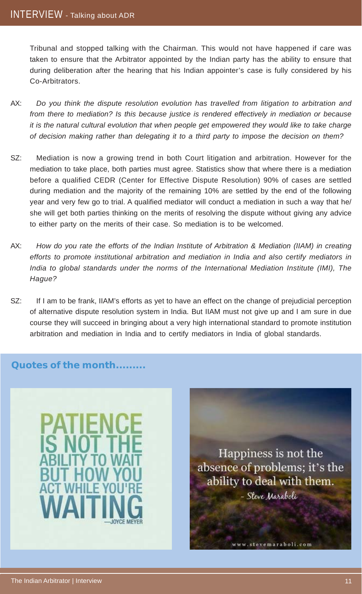Tribunal and stopped talking with the Chairman. This would not have happened if care was taken to ensure that the Arbitrator appointed by the Indian party has the ability to ensure that during deliberation after the hearing that his Indian appointer's case is fully considered by his Co-Arbitrators.

- AX: *Do you think the dispute resolution evolution has travelled from litigation to arbitration and from there to mediation? Is this because justice is rendered effectively in mediation or because it is the natural cultural evolution that when people get empowered they would like to take charge of decision making rather than delegating it to a third party to impose the decision on them?*
- SZ: Mediation is now a growing trend in both Court litigation and arbitration. However for the mediation to take place, both parties must agree. Statistics show that where there is a mediation before a qualified CEDR (Center for Effective Dispute Resolution) 90% of cases are settled during mediation and the majority of the remaining 10% are settled by the end of the following year and very few go to trial. A qualified mediator will conduct a mediation in such a way that he/ she will get both parties thinking on the merits of resolving the dispute without giving any advice to either party on the merits of their case. So mediation is to be welcomed.
- AX: *How do you rate the efforts of the Indian Institute of Arbitration & Mediation (IIAM) in creating efforts to promote institutional arbitration and mediation in India and also certify mediators in India to global standards under the norms of the International Mediation Institute (IMI), The Hague?*
- SZ: If I am to be frank, IIAM's efforts as yet to have an effect on the change of prejudicial perception of alternative dispute resolution system in India. But IIAM must not give up and I am sure in due course they will succeed in bringing about a very high international standard to promote institution arbitration and mediation in India and to certify mediators in India of global standards.

### **Quotes of the month.........**





www.stevemaraboli.com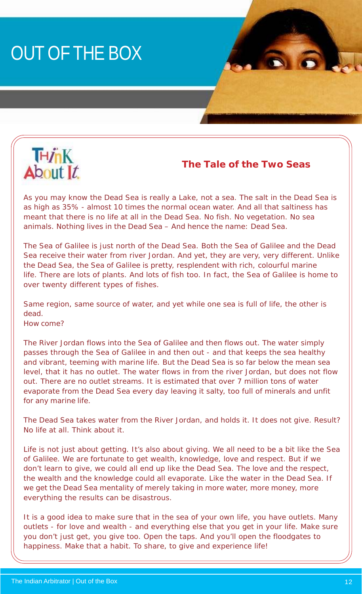# OUT OF THE BOX



**The Tale of the Two Seas**

As you may know the Dead Sea is really a Lake, not a sea. The salt in the Dead Sea is as high as 35% - almost 10 times the normal ocean water. And all that saltiness has meant that there is no life at all in the Dead Sea. No fish. No vegetation. No sea animals. Nothing lives in the Dead Sea – And hence the name: Dead Sea.

The Sea of Galilee is just north of the Dead Sea. Both the Sea of Galilee and the Dead Sea receive their water from river Jordan. And yet, they are very, very different. Unlike the Dead Sea, the Sea of Galilee is pretty, resplendent with rich, colourful marine life. There are lots of plants. And lots of fish too. In fact, the Sea of Galilee is home to over twenty different types of fishes.

Same region, same source of water, and yet while one sea is full of life, the other is dead.

How come?

The River Jordan flows into the Sea of Galilee and then flows out. The water simply passes through the Sea of Galilee in and then out - and that keeps the sea healthy and vibrant, teeming with marine life. But the Dead Sea is so far below the mean sea level, that it has no outlet. The water flows in from the river Jordan, but does not flow out. There are no outlet streams. It is estimated that over 7 million tons of water evaporate from the Dead Sea every day leaving it salty, too full of minerals and unfit for any marine life.

The Dead Sea takes water from the River Jordan, and holds it. It does not give. Result? No life at all. Think about it.

Life is not just about getting. It's also about giving. We all need to be a bit like the Sea of Galilee. We are fortunate to get wealth, knowledge, love and respect. But if we don't learn to give, we could all end up like the Dead Sea. The love and the respect, the wealth and the knowledge could all evaporate. Like the water in the Dead Sea. If we get the Dead Sea mentality of merely taking in more water, more money, more everything the results can be disastrous.

It is a good idea to make sure that in the sea of your own life, you have outlets. Many outlets - for love and wealth - and everything else that you get in your life. Make sure you don't just get, you give too. Open the taps. And you'll open the floodgates to happiness. Make that a habit. To share, to give and experience life!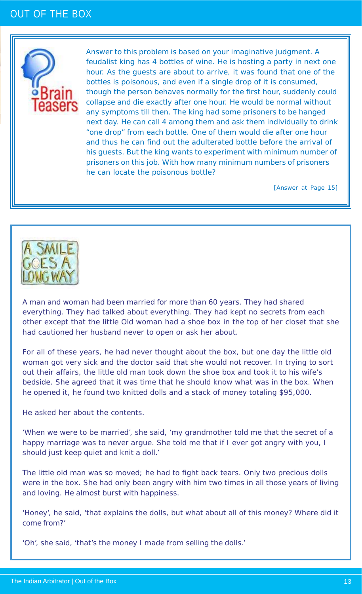### OUT OF THE BOX



Answer to this problem is based on your imaginative judgment. A feudalist king has 4 bottles of wine. He is hosting a party in next one hour. As the guests are about to arrive, it was found that one of the bottles is poisonous, and even if a single drop of it is consumed, though the person behaves normally for the first hour, suddenly could collapse and die exactly after one hour. He would be normal without any symptoms till then. The king had some prisoners to be hanged next day. He can call 4 among them and ask them individually to drink "one drop" from each bottle. One of them would die after one hour and thus he can find out the adulterated bottle before the arrival of his guests. But the king wants to experiment with minimum number of prisoners on this job. With how many minimum numbers of prisoners he can locate the poisonous bottle?

[Answer at Page 15]



A man and woman had been married for more than 60 years. They had shared everything. They had talked about everything. They had kept no secrets from each other except that the little Old woman had a shoe box in the top of her closet that she had cautioned her husband never to open or ask her about.

For all of these years, he had never thought about the box, but one day the little old woman got very sick and the doctor said that she would not recover. In trying to sort out their affairs, the little old man took down the shoe box and took it to his wife's bedside. She agreed that it was time that he should know what was in the box. When he opened it, he found two knitted dolls and a stack of money totaling \$95,000.

He asked her about the contents.

'When we were to be married', she said, 'my grandmother told me that the secret of a happy marriage was to never argue. She told me that if I ever got angry with you, I should just keep quiet and knit a doll.'

The little old man was so moved; he had to fight back tears. Only two precious dolls were in the box. She had only been angry with him two times in all those years of living and loving. He almost burst with happiness.

'Honey', he said, 'that explains the dolls, but what about all of this money? Where did it come from?'

'Oh', she said, 'that's the money I made from selling the dolls.'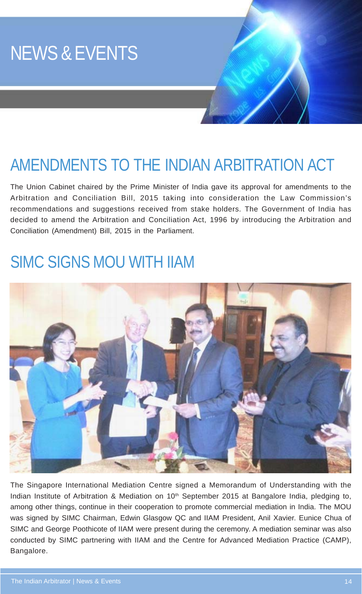

## AMENDMENTS TO THE INDIAN ARBITRATION ACT

The Union Cabinet chaired by the Prime Minister of India gave its approval for amendments to the Arbitration and Conciliation Bill, 2015 taking into consideration the Law Commission's recommendations and suggestions received from stake holders. The Government of India has decided to amend the Arbitration and Conciliation Act, 1996 by introducing the Arbitration and Conciliation (Amendment) Bill, 2015 in the Parliament.

### SIMC SIGNS MOU WITH IIAM



The Singapore International Mediation Centre signed a Memorandum of Understanding with the Indian Institute of Arbitration & Mediation on 10<sup>th</sup> September 2015 at Bangalore India, pledging to, among other things, continue in their cooperation to promote commercial mediation in India. The MOU was signed by SIMC Chairman, Edwin Glasgow QC and IIAM President, Anil Xavier. Eunice Chua of SIMC and George Poothicote of IIAM were present during the ceremony. A mediation seminar was also conducted by SIMC partnering with IIAM and the Centre for Advanced Mediation Practice (CAMP), Bangalore.